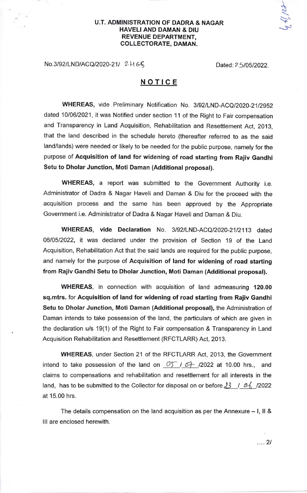## U.T. ADMINISTRATION OF DADRA & NAGAR HAVELIAND DAMAN & DIU REVENUE DEPARTMENT, COLLECTORATE, DAMAN.

No.3/92/LND/ACQ/2020-21/ 2-465 Dated:2 5/05/2022.

\  $\mathcal{C}$ 

 $\checkmark$  $\mathcal{L}$ 

## NOTICE

WHEREAS, vide Preliminary Notification No. 3/92/LND-ACQ/2020-21/2952 dated 10/06/2021, it was Notified under section 11 of the Right to Fair compensation and Transparency in Land Acquisition, Rehabilitation and Resettlement Act, 2013, that the land described in the schedule hereto (thereafter referred to as the said land/lands) were needed or likely to be needed for the public purpose, namely for the purpose of Acquisition of land for widening of road starting from Rajiv Gandhi Setu to Dholar Junction, Moti Daman (Additional proposal).

WHEREAS, a report was submitted to the Government Authority i.e. Administrator of Dadra & Nagar Haveli and Daman & Diu for the proceed with the acquisition process and the same has been approved by the Appropriate Government i.e. Administrator of Dadra & Nagar Haveli and Daman & Diu.

WHEREAS, vide Declaration No. 3/92/LND-ACQ/2020-21/2113 dated 0610512022, it was declared under the provision of Section 19 of the Land Acquisition, Rehabilitation Act that the said lands are required for the public purpose, and namely for the purpose of Acquisition of land for widening of road starting from Rajiv Gandhi Setu to Dholar Junction, Moti Daman (Additional proposal).

WHEREAS, in connection with acquisition of land admeasuring 120.00 sq.mtrs. for Acquisition of land for widening of road starting from Rajiv Gandhi Setu to Dholar Junction, Moti Daman (Additional proposal), the Administration of Daman intends to take possession of the land, the particulars of which are given in the declaration u/s 19(1) of the Right to Fair compensation & Transparency in Land Acquisition Rehabilitation and Resettlement (RFCTLARR) Act, 2013.

WHEREAS, under Section 21 of the RFCTLARR Act, 2013, the Government intend to take possession of the land on  $\begin{array}{cc} \sqrt{5} & 1 & 6 \end{array}$  /2022 at 10.00 hrs., and claims to compensations and rehabilitation and resettlement for all interests in the land, has to be submitted to the Collector for disposal on or before  $\frac{13}{100}$  / 0.6 / 12022 at 15.00 hrs.

The details compensation on the land acquisition as per the Annexure  $-1$ , II & lll are enclosed herewith.

 $\ldots$  2/